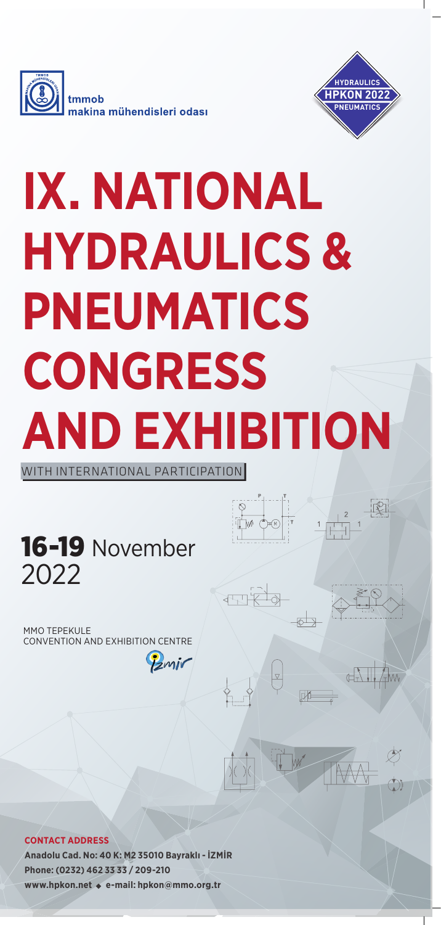



# **IX. NATIONAL HYDRAULICS & PNEUMATICS CONGRESS AND EXHIBITION**

WITH INTERNATIONAL PARTICIPATION

16-19 November 2022

MMO TEPEKULE CONVENTION AND EXHIBITION CENTRE

Zmir

不可不

#### **CONTACT ADDRESS**

**Anadolu Cad. No: 40 K: M2 35010 Bayraklı - İZMİR Phone: (0232) 462 33 33 / 209-210 www.hpkon.net e-mail: hpkon@mmo.org.tr**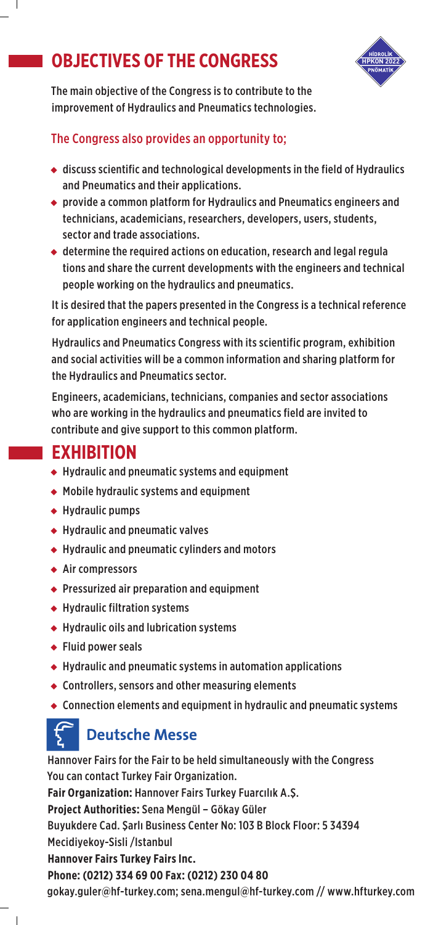## **OBJECTIVES OF THE CONGRESS**

 $\overline{\phantom{a}}$ 



The main objective of the Congress is to contribute to the improvement of Hydraulics and Pneumatics technologies.

### The Congress also provides an opportunity to;

- $\triangleq$  discuss scientific and technological developments in the field of Hydraulics and Pneumatics and their applications.
- ◆ provide a common platform for Hydraulics and Pneumatics engineers and technicians, academicians, researchers, developers, users, students, sector and trade associations.
- ◆ determine the required actions on education, research and legal regula tions and share the current developments with the engineers and technical people working on the hydraulics and pneumatics.

It is desired that the papers presented in the Congress is a technical reference for application engineers and technical people.

Hydraulics and Pneumatics Congress with its scientific program, exhibition and social activities will be a common information and sharing platform for the Hydraulics and Pneumatics sector.

Engineers, academicians, technicians, companies and sector associations who are working in the hydraulics and pneumatics field are invited to contribute and give support to this common platform.

## **EXHIBITION**

- ◆ Hydraulic and pneumatic systems and equipment
- ◆ Mobile hydraulic systems and equipment
- ◆ Hydraulic pumps
- ◆ Hydraulic and pneumatic valves
- ◆ Hydraulic and pneumatic cylinders and motors
- ◆ Air compressors
- ◆ Pressurized air preparation and equipment
- ◆ Hydraulic filtration systems
- ◆ Hydraulic oils and lubrication systems
- ◆ Fluid power seals

 $\overline{\phantom{a}}$ 

- ◆ Hydraulic and pneumatic systems in automation applications
- ◆ Controllers, sensors and other measuring elements
- ◆ Connection elements and equipment in hydraulic and pneumatic systems

## **Deutsche Messe**

Hannover Fairs for the Fair to be held simultaneously with the Congress You can contact Turkey Fair Organization. **Fair Organization:** Hannover Fairs Turkey Fuarcılık A.Ş. **Project Authorities:** Sena Mengül – Gökay Güler Buyukdere Cad. Şarlı Business Center No: 103 B Block Floor: 5 34394 Mecidiyekoy-Sisli /Istanbul **Hannover Fairs Turkey Fairs Inc. Phone: (0212) 334 69 00 Fax: (0212) 230 04 80** gokay.guler@hf-turkey.com; sena.mengul@hf-turkey.com // www.hfturkey.com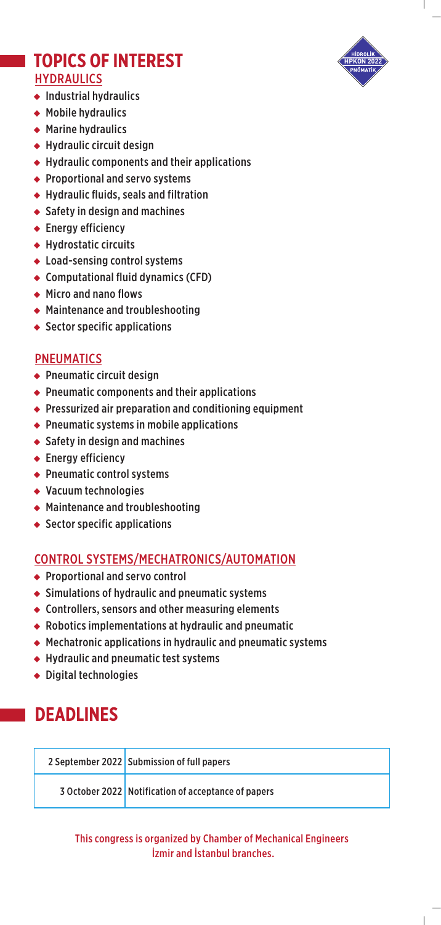

## **TOPICS OF INTEREST HYDRAULICS**

- ◆ Industrial hydraulics
- ◆ Mobile hydraulics
- ◆ Marine hydraulics
- ◆ Hydraulic circuit design
- ◆ Hydraulic components and their applications
- ◆ Proportional and servo systems
- ◆ Hydraulic fluids, seals and filtration
- ◆ Safety in design and machines
- ◆ Energy efficiency
- ◆ Hydrostatic circuits
- ◆ Load-sensing control systems
- ◆ Computational fluid dynamics (CFD)
- ◆ Micro and nano flows
- ◆ Maintenance and troubleshooting
- ◆ Sector specific applications

#### PNEUMATICS

- ◆ Pneumatic circuit design
- ◆ Pneumatic components and their applications
- ◆ Pressurized air preparation and conditioning equipment
- ◆ Pneumatic systems in mobile applications
- ◆ Safety in design and machines
- ◆ Energy efficiency
- ◆ Pneumatic control systems
- ◆ Vacuum technologies
- ◆ Maintenance and troubleshooting
- ◆ Sector specific applications

#### CONTROL SYSTEMS/MECHATRONICS/AUTOMATION

- ◆ Proportional and servo control
- ◆ Simulations of hydraulic and pneumatic systems
- ◆ Controllers, sensors and other measuring elements
- ◆ Robotics implementations at hydraulic and pneumatic
- ◆ Mechatronic applications in hydraulic and pneumatic systems
- ◆ Hydraulic and pneumatic test systems
- ◆ Digital technologies

## **DEADLINES**

| 2 September 2022 Submission of full papers          |
|-----------------------------------------------------|
| 3 October 2022 Notification of acceptance of papers |

This congress is organized by Chamber of Mechanical Engineers İzmir and İstanbul branches.